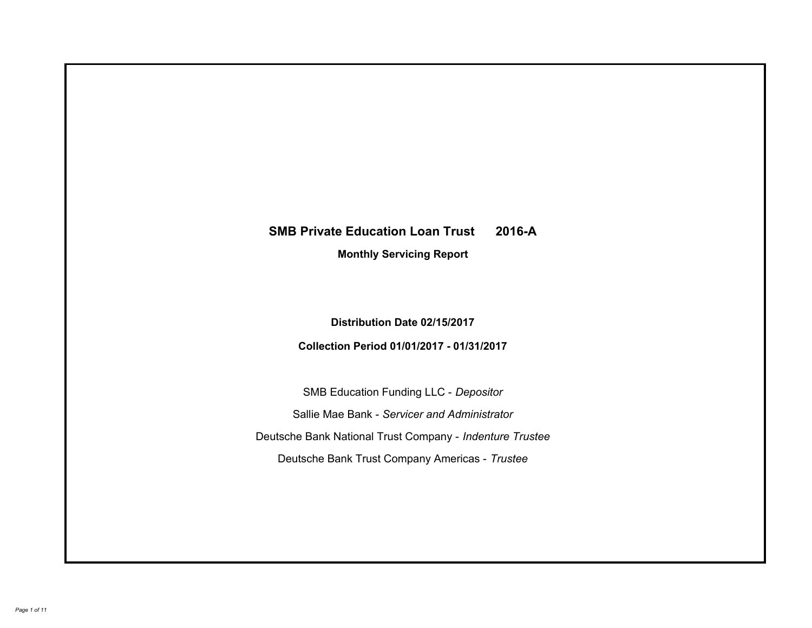# **SMB Private Education Loan Trust 2016-A Monthly Servicing Report**

**Distribution Date 02/15/2017**

**Collection Period 01/01/2017 - 01/31/2017**

SMB Education Funding LLC - *Depositor* Sallie Mae Bank - *Servicer and Administrator* Deutsche Bank National Trust Company - *Indenture Trustee* Deutsche Bank Trust Company Americas - *Trustee*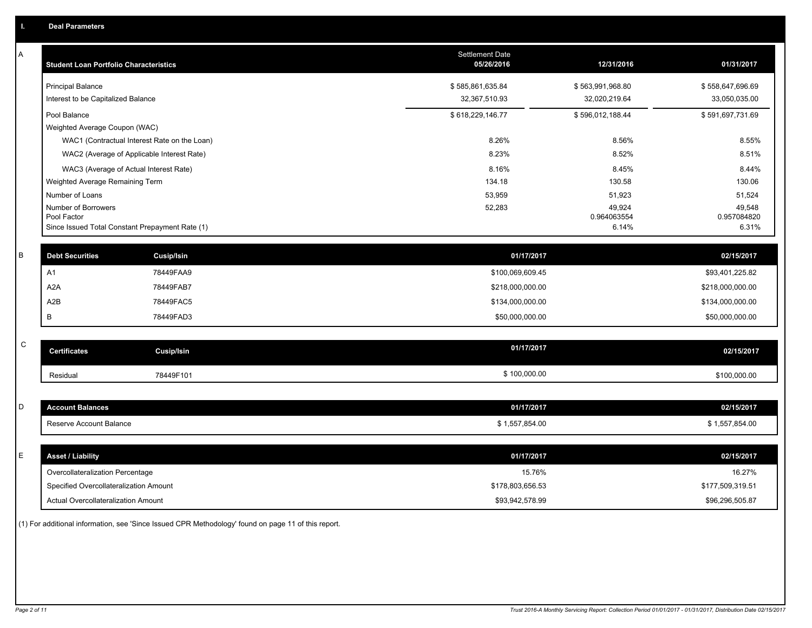| Α           | <b>Student Loan Portfolio Characteristics</b>   |                                              | <b>Settlement Date</b><br>05/26/2016 | 12/31/2016            | 01/31/2017            |
|-------------|-------------------------------------------------|----------------------------------------------|--------------------------------------|-----------------------|-----------------------|
|             | <b>Principal Balance</b>                        |                                              | \$585,861,635.84                     | \$563,991,968.80      | \$558,647,696.69      |
|             | Interest to be Capitalized Balance              |                                              | 32,367,510.93                        | 32,020,219.64         | 33,050,035.00         |
|             | Pool Balance                                    |                                              | \$618,229,146.77                     | \$596,012,188.44      | \$591,697,731.69      |
|             | Weighted Average Coupon (WAC)                   |                                              |                                      |                       |                       |
|             |                                                 | WAC1 (Contractual Interest Rate on the Loan) | 8.26%                                | 8.56%                 | 8.55%                 |
|             | WAC2 (Average of Applicable Interest Rate)      |                                              | 8.23%                                | 8.52%                 | 8.51%                 |
|             | WAC3 (Average of Actual Interest Rate)          |                                              | 8.16%                                | 8.45%                 | 8.44%                 |
|             | Weighted Average Remaining Term                 |                                              | 134.18                               | 130.58                | 130.06                |
|             | Number of Loans                                 |                                              | 53,959                               | 51,923                | 51,524                |
|             | Number of Borrowers<br>Pool Factor              |                                              | 52,283                               | 49,924<br>0.964063554 | 49,548<br>0.957084820 |
|             | Since Issued Total Constant Prepayment Rate (1) |                                              |                                      | 6.14%                 | 6.31%                 |
|             |                                                 |                                              |                                      |                       |                       |
| B           | <b>Debt Securities</b>                          | <b>Cusip/Isin</b>                            | 01/17/2017                           |                       | 02/15/2017            |
|             | A1                                              | 78449FAA9                                    | \$100,069,609.45                     |                       | \$93,401,225.82       |
|             | A <sub>2</sub> A                                | 78449FAB7                                    | \$218,000,000.00                     |                       | \$218,000,000.00      |
|             | A2B                                             | 78449FAC5                                    | \$134,000,000.00                     |                       | \$134,000,000.00      |
|             | B                                               | 78449FAD3                                    | \$50,000,000.00                      |                       | \$50,000,000.00       |
|             |                                                 |                                              |                                      |                       |                       |
| $\mathsf C$ | <b>Certificates</b>                             | <b>Cusip/Isin</b>                            | 01/17/2017                           |                       | 02/15/2017            |
|             | Residual                                        | 78449F101                                    | \$100,000.00                         |                       | \$100,000.00          |
|             |                                                 |                                              |                                      |                       |                       |
| D           | <b>Account Balances</b>                         |                                              | 01/17/2017                           |                       | 02/15/2017            |
|             | Reserve Account Balance                         |                                              | \$1,557,854.00                       |                       | \$1,557,854.00        |
|             |                                                 |                                              |                                      |                       |                       |
| E           | <b>Asset / Liability</b>                        |                                              | 01/17/2017                           |                       | 02/15/2017            |
|             | Overcollateralization Percentage                |                                              | 15.76%                               |                       | 16.27%                |
|             | Specified Overcollateralization Amount          |                                              | \$178,803,656.53                     |                       | \$177,509,319.51      |
|             | <b>Actual Overcollateralization Amount</b>      |                                              | \$93,942,578.99                      |                       | \$96,296,505.87       |

(1) For additional information, see 'Since Issued CPR Methodology' found on page 11 of this report.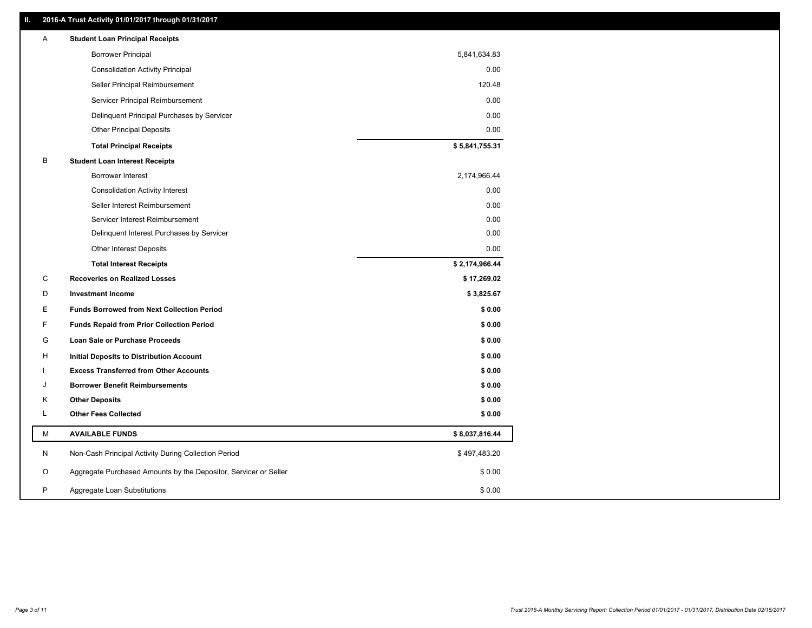# **II. 2016-A Trust Activity 01/01/2017 through 01/31/2017**

| Α  | <b>Student Loan Principal Receipts</b>                           |                |
|----|------------------------------------------------------------------|----------------|
|    | <b>Borrower Principal</b>                                        | 5,841,634.83   |
|    | <b>Consolidation Activity Principal</b>                          | 0.00           |
|    | Seller Principal Reimbursement                                   | 120.48         |
|    | Servicer Principal Reimbursement                                 | 0.00           |
|    | Delinquent Principal Purchases by Servicer                       | 0.00           |
|    | <b>Other Principal Deposits</b>                                  | 0.00           |
|    | <b>Total Principal Receipts</b>                                  | \$5,841,755.31 |
| В  | <b>Student Loan Interest Receipts</b>                            |                |
|    | <b>Borrower Interest</b>                                         | 2,174,966.44   |
|    | <b>Consolidation Activity Interest</b>                           | 0.00           |
|    | Seller Interest Reimbursement                                    | 0.00           |
|    | Servicer Interest Reimbursement                                  | 0.00           |
|    | Delinquent Interest Purchases by Servicer                        | 0.00           |
|    | Other Interest Deposits                                          | 0.00           |
|    | <b>Total Interest Receipts</b>                                   | \$2,174,966.44 |
| C  | <b>Recoveries on Realized Losses</b>                             | \$17,269.02    |
| D  | <b>Investment Income</b>                                         | \$3,825.67     |
| E  | <b>Funds Borrowed from Next Collection Period</b>                | \$0.00         |
| F  | <b>Funds Repaid from Prior Collection Period</b>                 | \$0.00         |
| G  | Loan Sale or Purchase Proceeds                                   | \$0.00         |
| н  | <b>Initial Deposits to Distribution Account</b>                  | \$0.00         |
|    | <b>Excess Transferred from Other Accounts</b>                    | \$0.00         |
| ۱. | <b>Borrower Benefit Reimbursements</b>                           | \$0.00         |
| Κ  | <b>Other Deposits</b>                                            | \$0.00         |
| Г  | <b>Other Fees Collected</b>                                      | \$0.00         |
| M  | <b>AVAILABLE FUNDS</b>                                           | \$8,037,816.44 |
| N  | Non-Cash Principal Activity During Collection Period             | \$497,483.20   |
| O  |                                                                  |                |
|    | Aggregate Purchased Amounts by the Depositor, Servicer or Seller | \$0.00         |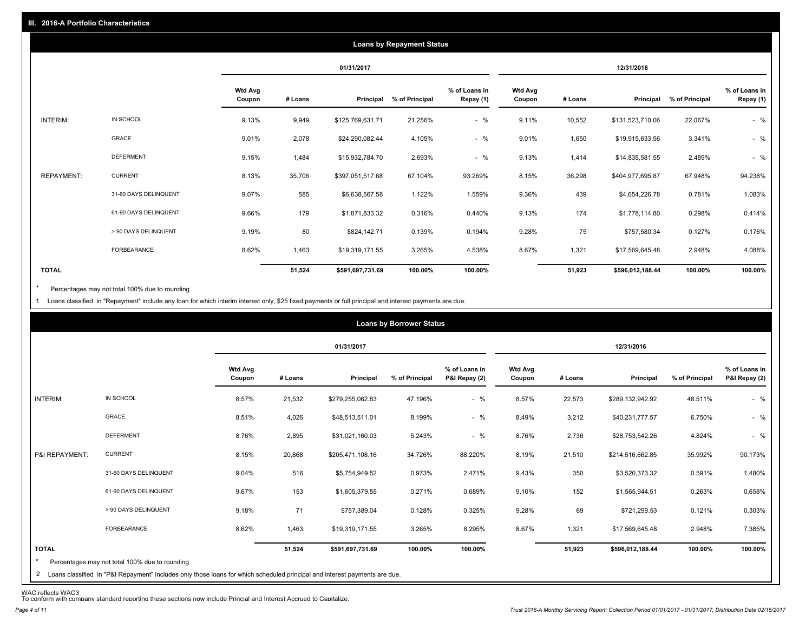|              |                       |                          |         |                  | <b>Loans by Repayment Status</b> |                            |                          |         |                  |                |                            |
|--------------|-----------------------|--------------------------|---------|------------------|----------------------------------|----------------------------|--------------------------|---------|------------------|----------------|----------------------------|
|              |                       |                          |         | 01/31/2017       |                                  |                            |                          |         | 12/31/2016       |                |                            |
|              |                       | <b>Wtd Avg</b><br>Coupon | # Loans | Principal        | % of Principal                   | % of Loans in<br>Repay (1) | <b>Wtd Avg</b><br>Coupon | # Loans | Principal        | % of Principal | % of Loans in<br>Repay (1) |
| INTERIM:     | IN SCHOOL             | 9.13%                    | 9,949   | \$125,769,631.71 | 21.256%                          | $-$ %                      | 9.11%                    | 10,552  | \$131,523,710.06 | 22.067%        | $-$ %                      |
|              | GRACE                 | 9.01%                    | 2,078   | \$24,290,082.44  | 4.105%                           | $-$ %                      | 9.01%                    | 1,650   | \$19,915,633.56  | 3.341%         | $-$ %                      |
|              | <b>DEFERMENT</b>      | 9.15%                    | 1,484   | \$15,932,784.70  | 2.693%                           | $-$ %                      | 9.13%                    | 1,414   | \$14,835,581.55  | 2.489%         | $-$ %                      |
| REPAYMENT:   | <b>CURRENT</b>        | 8.13%                    | 35,706  | \$397,051,517.68 | 67.104%                          | 93.269%                    | 8.15%                    | 36,298  | \$404,977,695.87 | 67.948%        | 94.238%                    |
|              | 31-60 DAYS DELINQUENT | 9.07%                    | 585     | \$6,638,567.58   | 1.122%                           | 1.559%                     | 9.36%                    | 439     | \$4,654,226.78   | 0.781%         | 1.083%                     |
|              | 61-90 DAYS DELINQUENT | 9.66%                    | 179     | \$1,871,833.32   | 0.316%                           | 0.440%                     | 9.13%                    | 174     | \$1,778,114.80   | 0.298%         | 0.414%                     |
|              | > 90 DAYS DELINQUENT  | 9.19%                    | 80      | \$824,142.71     | 0.139%                           | 0.194%                     | 9.28%                    | 75      | \$757,580.34     | 0.127%         | 0.176%                     |
|              | <b>FORBEARANCE</b>    | 8.62%                    | 1,463   | \$19,319,171.55  | 3.265%                           | 4.538%                     | 8.67%                    | 1,321   | \$17,569,645.48  | 2.948%         | 4.088%                     |
| <b>TOTAL</b> |                       |                          | 51,524  | \$591,697,731.69 | 100.00%                          | 100.00%                    |                          | 51,923  | \$596,012,188.44 | 100.00%        | 100.00%                    |

Percentages may not total 100% due to rounding \*

1 Loans classified in "Repayment" include any loan for which interim interest only, \$25 fixed payments or full principal and interest payments are due.

|                 |                                                                                                                              |                          |         |                  | <b>Loans by Borrower Status</b> |                                |                          |         |                  |                |                                |
|-----------------|------------------------------------------------------------------------------------------------------------------------------|--------------------------|---------|------------------|---------------------------------|--------------------------------|--------------------------|---------|------------------|----------------|--------------------------------|
|                 |                                                                                                                              |                          |         | 01/31/2017       |                                 |                                |                          |         | 12/31/2016       |                |                                |
|                 |                                                                                                                              | <b>Wtd Avg</b><br>Coupon | # Loans | Principal        | % of Principal                  | % of Loans in<br>P&I Repay (2) | <b>Wtd Avg</b><br>Coupon | # Loans | Principal        | % of Principal | % of Loans in<br>P&I Repay (2) |
| <b>INTERIM:</b> | IN SCHOOL                                                                                                                    | 8.57%                    | 21,532  | \$279,255,062.83 | 47.196%                         | $-$ %                          | 8.57%                    | 22,573  | \$289,132,942.92 | 48.511%        | $-$ %                          |
|                 | GRACE                                                                                                                        | 8.51%                    | 4,026   | \$48,513,511.01  | 8.199%                          | $-$ %                          | 8.49%                    | 3,212   | \$40,231,777.57  | 6.750%         | $-$ %                          |
|                 | <b>DEFERMENT</b>                                                                                                             | 8.76%                    | 2,895   | \$31,021,160.03  | 5.243%                          | $-$ %                          | 8.76%                    | 2,736   | \$28,753,542.26  | 4.824%         | $-$ %                          |
| P&I REPAYMENT:  | <b>CURRENT</b>                                                                                                               | 8.15%                    | 20,868  | \$205,471,108.16 | 34.726%                         | 88.220%                        | 8.19%                    | 21,510  | \$214,516,662.85 | 35.992%        | 90.173%                        |
|                 | 31-60 DAYS DELINQUENT                                                                                                        | 9.04%                    | 516     | \$5,754,949.52   | 0.973%                          | 2.471%                         | 9.43%                    | 350     | \$3,520,373.32   | 0.591%         | 1.480%                         |
|                 | 61-90 DAYS DELINQUENT                                                                                                        | 9.67%                    | 153     | \$1,605,379.55   | 0.271%                          | 0.689%                         | 9.10%                    | 152     | \$1,565,944.51   | 0.263%         | 0.658%                         |
|                 | > 90 DAYS DELINQUENT                                                                                                         | 9.18%                    | 71      | \$757,389.04     | 0.128%                          | 0.325%                         | 9.28%                    | 69      | \$721,299.53     | 0.121%         | 0.303%                         |
|                 | FORBEARANCE                                                                                                                  | 8.62%                    | 1,463   | \$19,319,171.55  | 3.265%                          | 8.295%                         | 8.67%                    | 1,321   | \$17,569,645.48  | 2.948%         | 7.385%                         |
| <b>TOTAL</b>    |                                                                                                                              |                          | 51,524  | \$591,697,731.69 | 100.00%                         | 100.00%                        |                          | 51,923  | \$596,012,188.44 | 100.00%        | 100.00%                        |
| $\star$         | Percentages may not total 100% due to rounding                                                                               |                          |         |                  |                                 |                                |                          |         |                  |                |                                |
|                 | 2. Loans classified in "P&I Renayment" includes only those loans for which scheduled principal and interest nayments are due |                          |         |                  |                                 |                                |                          |         |                  |                |                                |

2 Loans classified in "P&I Repayment" includes only those loans for which scheduled principal and interest payments are due.

WAC reflects WAC3 To conform with company standard reporting these sections now include Princial and Interest Accrued to Capitalize.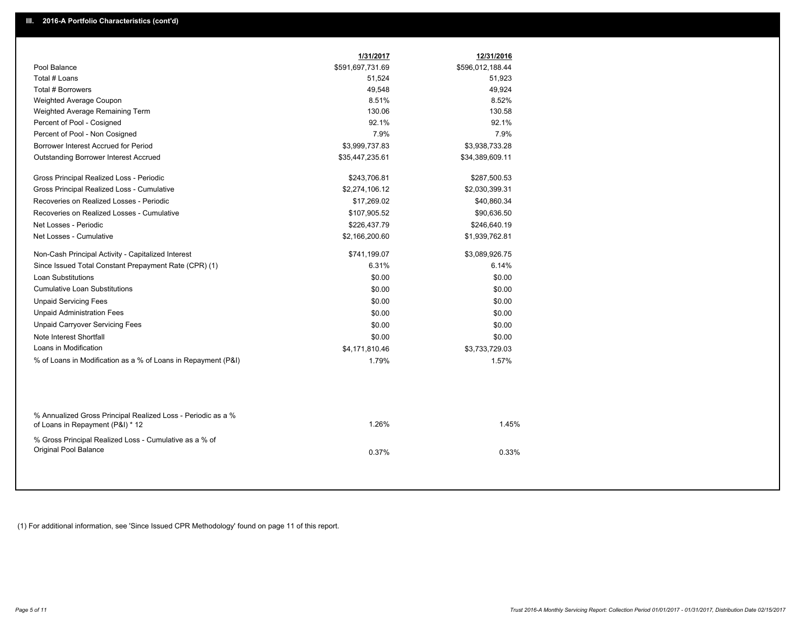|                                                                                                  | 1/31/2017        | 12/31/2016       |  |
|--------------------------------------------------------------------------------------------------|------------------|------------------|--|
| Pool Balance                                                                                     | \$591,697,731.69 | \$596,012,188.44 |  |
| Total # Loans                                                                                    | 51,524           | 51,923           |  |
| Total # Borrowers                                                                                | 49,548           | 49,924           |  |
| Weighted Average Coupon                                                                          | 8.51%            | 8.52%            |  |
| Weighted Average Remaining Term                                                                  | 130.06           | 130.58           |  |
| Percent of Pool - Cosigned                                                                       | 92.1%            | 92.1%            |  |
| Percent of Pool - Non Cosigned                                                                   | 7.9%             | 7.9%             |  |
| Borrower Interest Accrued for Period                                                             | \$3,999,737.83   | \$3,938,733.28   |  |
| <b>Outstanding Borrower Interest Accrued</b>                                                     | \$35,447,235.61  | \$34,389,609.11  |  |
| Gross Principal Realized Loss - Periodic                                                         | \$243,706.81     | \$287,500.53     |  |
| Gross Principal Realized Loss - Cumulative                                                       | \$2,274,106.12   | \$2,030,399.31   |  |
| Recoveries on Realized Losses - Periodic                                                         | \$17,269.02      | \$40,860.34      |  |
| Recoveries on Realized Losses - Cumulative                                                       | \$107,905.52     | \$90,636.50      |  |
| Net Losses - Periodic                                                                            | \$226,437.79     | \$246,640.19     |  |
| Net Losses - Cumulative                                                                          | \$2,166,200.60   | \$1,939,762.81   |  |
| Non-Cash Principal Activity - Capitalized Interest                                               | \$741,199.07     | \$3,089,926.75   |  |
| Since Issued Total Constant Prepayment Rate (CPR) (1)                                            | 6.31%            | 6.14%            |  |
| <b>Loan Substitutions</b>                                                                        | \$0.00           | \$0.00           |  |
| <b>Cumulative Loan Substitutions</b>                                                             | \$0.00           | \$0.00           |  |
| <b>Unpaid Servicing Fees</b>                                                                     | \$0.00           | \$0.00           |  |
| <b>Unpaid Administration Fees</b>                                                                | \$0.00           | \$0.00           |  |
| <b>Unpaid Carryover Servicing Fees</b>                                                           | \$0.00           | \$0.00           |  |
| Note Interest Shortfall                                                                          | \$0.00           | \$0.00           |  |
| Loans in Modification                                                                            | \$4,171,810.46   | \$3,733,729.03   |  |
| % of Loans in Modification as a % of Loans in Repayment (P&I)                                    | 1.79%            | 1.57%            |  |
|                                                                                                  |                  |                  |  |
| % Annualized Gross Principal Realized Loss - Periodic as a %<br>of Loans in Repayment (P&I) * 12 | 1.26%            | 1.45%            |  |
| % Gross Principal Realized Loss - Cumulative as a % of<br>Original Pool Balance                  | 0.37%            | 0.33%            |  |

(1) For additional information, see 'Since Issued CPR Methodology' found on page 11 of this report.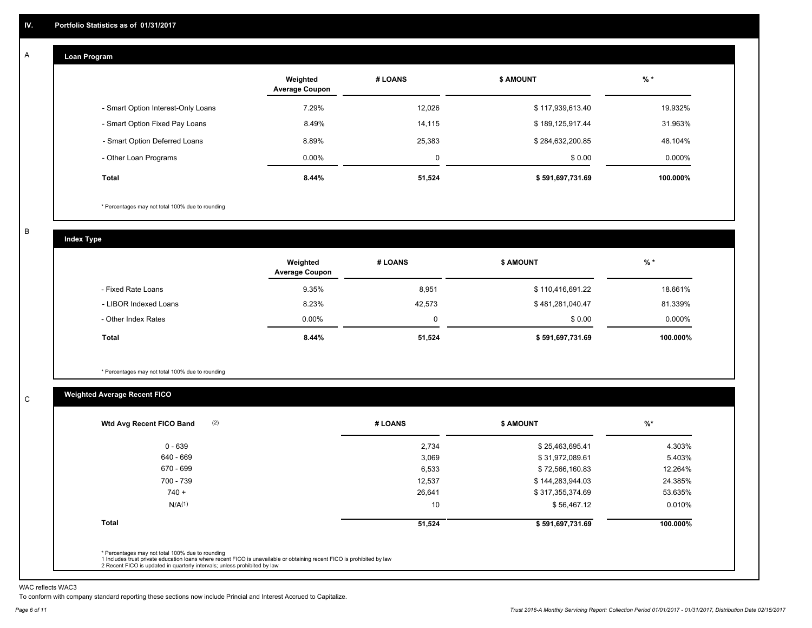#### **Loan Program**  A

|                                    | Weighted<br><b>Average Coupon</b> | # LOANS | <b>S AMOUNT</b>  | $%$ *    |
|------------------------------------|-----------------------------------|---------|------------------|----------|
| - Smart Option Interest-Only Loans | 7.29%                             | 12,026  | \$117,939,613.40 | 19.932%  |
| - Smart Option Fixed Pay Loans     | 8.49%                             | 14,115  | \$189,125,917.44 | 31.963%  |
| - Smart Option Deferred Loans      | 8.89%                             | 25,383  | \$284,632,200.85 | 48.104%  |
| - Other Loan Programs              | $0.00\%$                          | 0       | \$0.00           | 0.000%   |
| Total                              | 8.44%                             | 51,524  | \$591,697,731.69 | 100.000% |

\* Percentages may not total 100% due to rounding

B

C

**Index Type**

|                       | Weighted<br><b>Average Coupon</b> | # LOANS | <b>\$ AMOUNT</b> | $%$ *     |
|-----------------------|-----------------------------------|---------|------------------|-----------|
| - Fixed Rate Loans    | 9.35%                             | 8,951   | \$110,416,691.22 | 18.661%   |
| - LIBOR Indexed Loans | 8.23%                             | 42,573  | \$481,281,040.47 | 81.339%   |
| - Other Index Rates   | $0.00\%$                          |         | \$0.00           | $0.000\%$ |
| Total                 | 8.44%                             | 51,524  | \$591,697,731.69 | 100.000%  |

\* Percentages may not total 100% due to rounding

# **Weighted Average Recent FICO**

| $0 - 639$          | 2,734  | \$25,463,695.41  | 4.303%   |
|--------------------|--------|------------------|----------|
| 640 - 669          | 3,069  | \$31,972,089.61  | 5.403%   |
| 670 - 699          | 6,533  | \$72,566,160.83  | 12.264%  |
| 700 - 739          | 12,537 | \$144,283,944.03 | 24.385%  |
| $740 +$            | 26,641 | \$317,355,374.69 | 53.635%  |
| N/A <sup>(1)</sup> | 10     | \$56,467.12      | 0.010%   |
| <b>Total</b>       | 51,524 | \$591,697,731.69 | 100.000% |

WAC reflects WAC3

To conform with company standard reporting these sections now include Princial and Interest Accrued to Capitalize.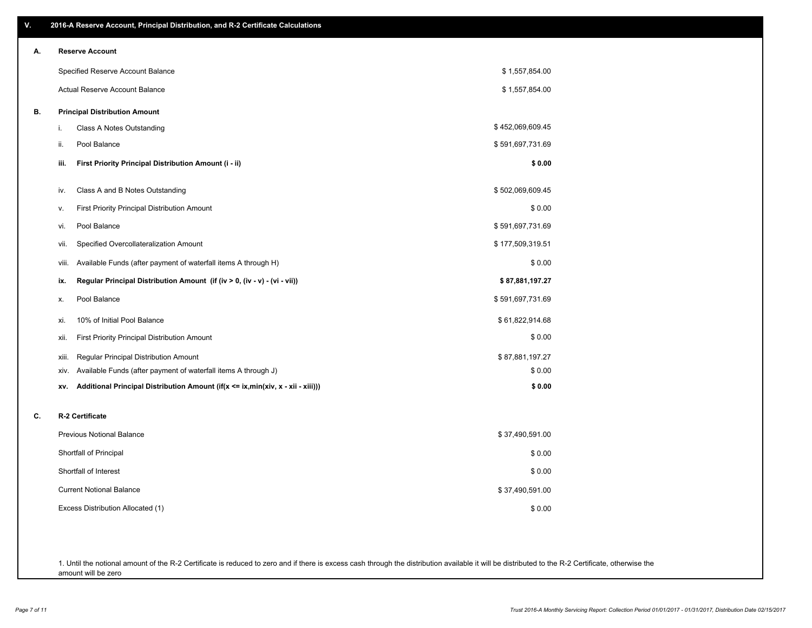| ۷. | 2016-A Reserve Account, Principal Distribution, and R-2 Certificate Calculations                     |                  |
|----|------------------------------------------------------------------------------------------------------|------------------|
| А. | <b>Reserve Account</b>                                                                               |                  |
|    | Specified Reserve Account Balance                                                                    | \$1,557,854.00   |
|    | Actual Reserve Account Balance                                                                       | \$1,557,854.00   |
| В. | <b>Principal Distribution Amount</b>                                                                 |                  |
|    | Class A Notes Outstanding<br>i.                                                                      | \$452,069,609.45 |
|    | Pool Balance<br>ii.                                                                                  | \$591,697,731.69 |
|    | iii.<br>First Priority Principal Distribution Amount (i - ii)                                        | \$0.00           |
|    | Class A and B Notes Outstanding<br>iv.                                                               | \$502,069,609.45 |
|    | <b>First Priority Principal Distribution Amount</b><br>v.                                            | \$0.00           |
|    | Pool Balance<br>vi.                                                                                  | \$591,697,731.69 |
|    | Specified Overcollateralization Amount<br>vii.                                                       | \$177,509,319.51 |
|    | Available Funds (after payment of waterfall items A through H)<br>viii.                              | \$0.00           |
|    | Regular Principal Distribution Amount (if (iv > 0, (iv - v) - (vi - vii))<br>ix.                     | \$87,881,197.27  |
|    | Pool Balance<br>х.                                                                                   | \$591,697,731.69 |
|    | 10% of Initial Pool Balance<br>xi.                                                                   | \$61,822,914.68  |
|    | <b>First Priority Principal Distribution Amount</b><br>xii.                                          | \$0.00           |
|    | Regular Principal Distribution Amount<br>xiii.                                                       | \$87,881,197.27  |
|    | Available Funds (after payment of waterfall items A through J)<br>xiv.                               | \$0.00           |
|    | Additional Principal Distribution Amount (if( $x \leq ix$ , min( $xiv$ , $x - xii - xiii$ )))<br>XV. | \$0.00           |
| C. | R-2 Certificate                                                                                      |                  |
|    | <b>Previous Notional Balance</b>                                                                     | \$37,490,591.00  |
|    | Shortfall of Principal                                                                               | \$0.00           |
|    | Shortfall of Interest                                                                                | \$0.00           |
|    | <b>Current Notional Balance</b>                                                                      | \$37,490,591.00  |
|    | Excess Distribution Allocated (1)                                                                    | \$0.00           |
|    |                                                                                                      |                  |
|    |                                                                                                      |                  |

1. Until the notional amount of the R-2 Certificate is reduced to zero and if there is excess cash through the distribution available it will be distributed to the R-2 Certificate, otherwise the amount will be zero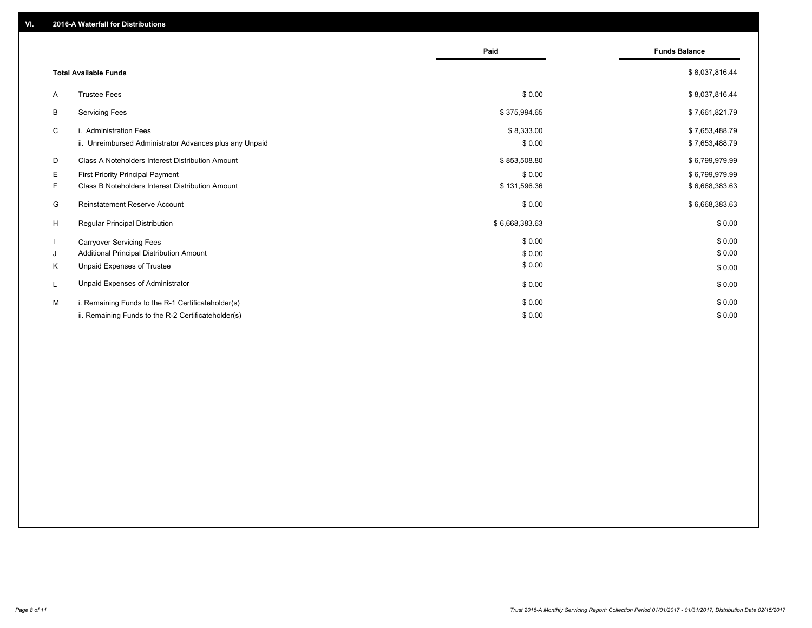|                                                         | Paid           | <b>Funds Balance</b> |
|---------------------------------------------------------|----------------|----------------------|
| <b>Total Available Funds</b>                            |                | \$8,037,816.44       |
| <b>Trustee Fees</b><br>A                                | \$0.00         | \$8,037,816.44       |
| <b>Servicing Fees</b><br>B                              | \$375,994.65   | \$7,661,821.79       |
| C<br>i. Administration Fees                             | \$8,333.00     | \$7,653,488.79       |
| ii. Unreimbursed Administrator Advances plus any Unpaid | \$0.00         | \$7,653,488.79       |
| Class A Noteholders Interest Distribution Amount<br>D   | \$853,508.80   | \$6,799,979.99       |
| Е<br><b>First Priority Principal Payment</b>            | \$0.00         | \$6,799,979.99       |
| Class B Noteholders Interest Distribution Amount<br>F.  | \$131,596.36   | \$6,668,383.63       |
| G<br>Reinstatement Reserve Account                      | \$0.00         | \$6,668,383.63       |
| H<br><b>Reqular Principal Distribution</b>              | \$6,668,383.63 | \$0.00               |
| <b>Carryover Servicing Fees</b>                         | \$0.00         | \$0.00               |
| Additional Principal Distribution Amount<br>J           | \$0.00         | \$0.00               |
| K<br>Unpaid Expenses of Trustee                         | \$0.00         | \$0.00               |
| Unpaid Expenses of Administrator<br>L                   | \$0.00         | \$0.00               |
| M<br>i. Remaining Funds to the R-1 Certificateholder(s) | \$0.00         | \$0.00               |
| ii. Remaining Funds to the R-2 Certificateholder(s)     | \$0.00         | \$0.00               |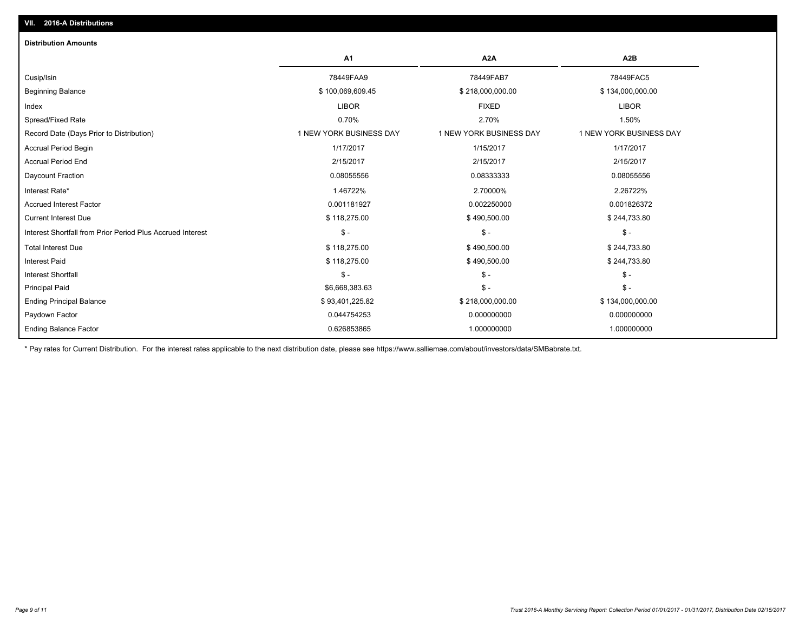| A <sub>1</sub>          | A2A                     | A2B                     |
|-------------------------|-------------------------|-------------------------|
| 78449FAA9               | 78449FAB7               | 78449FAC5               |
| \$100,069,609.45        | \$218,000,000.00        | \$134,000,000.00        |
| <b>LIBOR</b>            | <b>FIXED</b>            | <b>LIBOR</b>            |
| 0.70%                   | 2.70%                   | 1.50%                   |
| 1 NEW YORK BUSINESS DAY | 1 NEW YORK BUSINESS DAY | 1 NEW YORK BUSINESS DAY |
| 1/17/2017               | 1/15/2017               | 1/17/2017               |
| 2/15/2017               | 2/15/2017               | 2/15/2017               |
| 0.08055556              | 0.08333333              | 0.08055556              |
| 1.46722%                | 2.70000%                | 2.26722%                |
| 0.001181927             | 0.002250000             | 0.001826372             |
| \$118,275.00            | \$490,500.00            | \$244,733.80            |
| $\mathsf{\$}$ -         | $\mathsf{\$}$ -         | $\frac{1}{2}$           |
| \$118,275.00            | \$490,500.00            | \$244,733.80            |
| \$118,275.00            | \$490,500.00            | \$244,733.80            |
| $\mathsf{\$}$ -         | $\mathsf{\$}$ -         | $S -$                   |
| \$6,668,383.63          | $\mathsf S$ -           | $$ -$                   |
| \$93,401,225.82         | \$218,000,000.00        | \$134,000,000.00        |
| 0.044754253             | 0.000000000             | 0.000000000             |
| 0.626853865             | 1.000000000             | 1.000000000             |
|                         |                         |                         |

\* Pay rates for Current Distribution. For the interest rates applicable to the next distribution date, please see https://www.salliemae.com/about/investors/data/SMBabrate.txt.

**VII. 2016-A Distributions**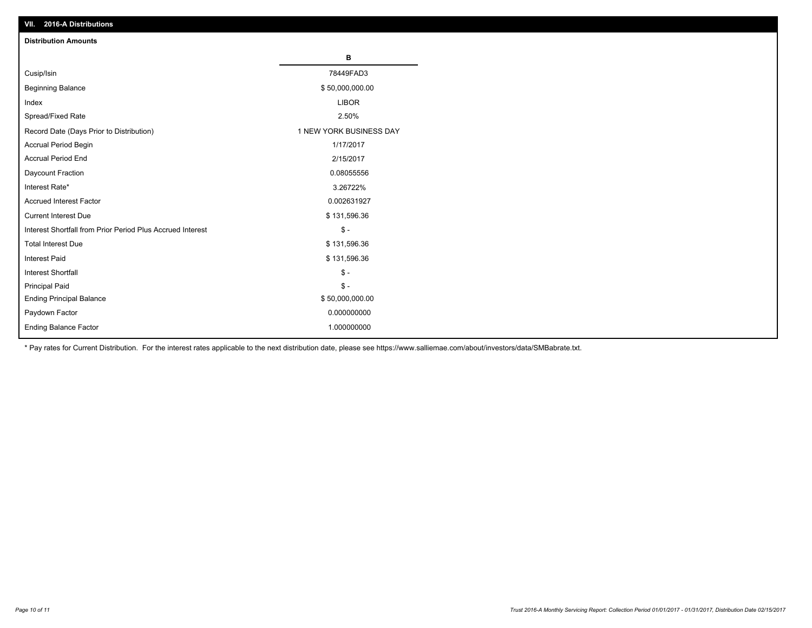| VII. 2016-A Distributions                                  |                         |
|------------------------------------------------------------|-------------------------|
| <b>Distribution Amounts</b>                                |                         |
|                                                            | в                       |
| Cusip/Isin                                                 | 78449FAD3               |
| <b>Beginning Balance</b>                                   | \$50,000,000.00         |
| Index                                                      | <b>LIBOR</b>            |
| Spread/Fixed Rate                                          | 2.50%                   |
| Record Date (Days Prior to Distribution)                   | 1 NEW YORK BUSINESS DAY |
| Accrual Period Begin                                       | 1/17/2017               |
| <b>Accrual Period End</b>                                  | 2/15/2017               |
| Daycount Fraction                                          | 0.08055556              |
| Interest Rate*                                             | 3.26722%                |
| <b>Accrued Interest Factor</b>                             | 0.002631927             |
| <b>Current Interest Due</b>                                | \$131,596.36            |
| Interest Shortfall from Prior Period Plus Accrued Interest | $$ -$                   |
| <b>Total Interest Due</b>                                  | \$131,596.36            |
| <b>Interest Paid</b>                                       | \$131,596.36            |
| <b>Interest Shortfall</b>                                  | $\mathbb{S}$ -          |
| <b>Principal Paid</b>                                      | $\frac{2}{3}$ -         |
| <b>Ending Principal Balance</b>                            | \$50,000,000.00         |
| Paydown Factor                                             | 0.000000000             |
| <b>Ending Balance Factor</b>                               | 1.000000000             |

\* Pay rates for Current Distribution. For the interest rates applicable to the next distribution date, please see https://www.salliemae.com/about/investors/data/SMBabrate.txt.